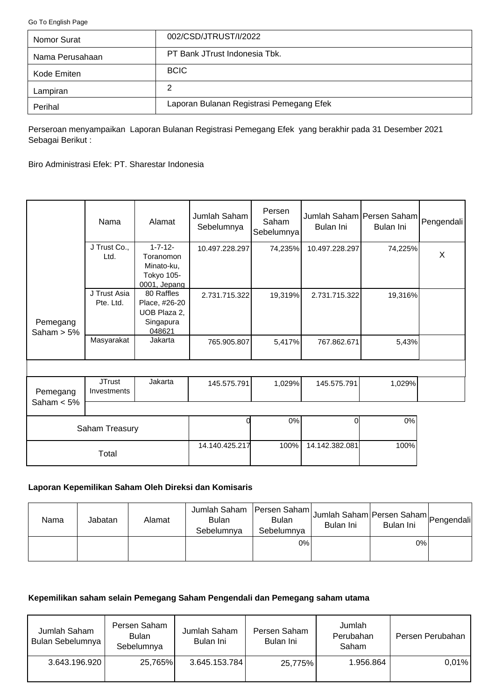<span id="page-0-0"></span>[Go To English Page](#page-2-0)

| Nomor Surat     | 002/CSD/JTRUST/I/2022                    |
|-----------------|------------------------------------------|
| Nama Perusahaan | PT Bank JTrust Indonesia Tbk.            |
| Kode Emiten     | <b>BCIC</b>                              |
| Lampiran        | 2                                        |
| Perihal         | Laporan Bulanan Registrasi Pemegang Efek |

Perseroan menyampaikan Laporan Bulanan Registrasi Pemegang Efek yang berakhir pada 31 Desember 2021 Sebagai Berikut :

Biro Administrasi Efek: PT. Sharestar Indonesia

|                           | Nama                         | Alamat                                                                  | Jumlah Saham<br>Sebelumnya | Persen<br>Saham<br>Sebelumnya | Jumlah Saham Persen Saham Pengendali<br>Bulan Ini | Bulan Ini |              |
|---------------------------|------------------------------|-------------------------------------------------------------------------|----------------------------|-------------------------------|---------------------------------------------------|-----------|--------------|
|                           | J Trust Co.,<br>Ltd.         | $1 - 7 - 12 -$<br>Toranomon<br>Minato-ku,<br>Tokyo 105-<br>0001, Jepang | 10.497.228.297             | 74,235%                       | 10.497.228.297                                    | 74,225%   | $\mathsf{x}$ |
| Pemegang<br>Saham $> 5\%$ | J Trust Asia<br>Pte. Ltd.    | 80 Raffles<br>Place, #26-20<br>UOB Plaza 2,<br>Singapura<br>048621      | 2.731.715.322              | 19,319%                       | 2.731.715.322                                     | 19,316%   |              |
|                           | Masyarakat                   | Jakarta                                                                 | 765.905.807                | 5,417%                        | 767.862.671                                       | 5,43%     |              |
| Pemegang<br>Saham $< 5\%$ | <b>JTrust</b><br>Investments | Jakarta                                                                 | 145.575.791                | 1,029%                        | 145.575.791                                       | 1,029%    |              |
|                           |                              |                                                                         |                            | 0%                            | $\Omega$                                          | 0%        |              |
|                           | Saham Treasury               |                                                                         |                            |                               |                                                   |           |              |

# **Laporan Kepemilikan Saham Oleh Direksi dan Komisaris**

Total

| Nama | Jabatan | Alamat | Jumlah Saham<br><b>Bulan</b><br>Sebelumnya | Persen Saham<br><b>Bulan</b><br>Sebelumnya | Jumlah Saham Persen Saham Pengendali<br>Bulan Ini | Bulan Ini |  |
|------|---------|--------|--------------------------------------------|--------------------------------------------|---------------------------------------------------|-----------|--|
|      |         |        |                                            | 0%                                         |                                                   | 0%        |  |

14.140.425.217 100% 14.142.382.081 100%

# **Kepemilikan saham selain Pemegang Saham Pengendali dan Pemegang saham utama**

| Jumlah Saham<br>Bulan Sebelumnya | Persen Saham<br><b>Bulan</b><br>Sebelumnya | Jumlah Saham<br>Bulan Ini | Persen Saham<br>Bulan Ini | Jumlah<br>Perubahan<br>Saham | Persen Perubahan |
|----------------------------------|--------------------------------------------|---------------------------|---------------------------|------------------------------|------------------|
| 3.643.196.920                    | 25,765%                                    | 3.645.153.784             | 25,775%                   | 1.956.864                    | $0.01\%$         |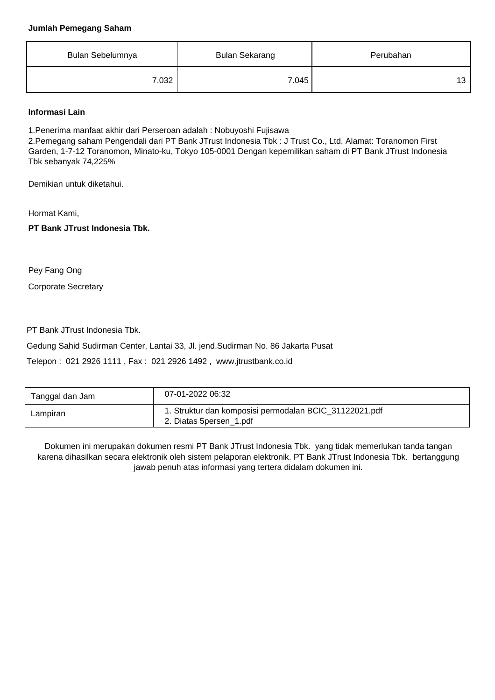### **Jumlah Pemegang Saham**

| Bulan Sebelumnya | <b>Bulan Sekarang</b> | Perubahan |
|------------------|-----------------------|-----------|
| 7.032            | 7.045                 | 13        |

## **Informasi Lain**

1.Penerima manfaat akhir dari Perseroan adalah : Nobuyoshi Fujisawa

2.Pemegang saham Pengendali dari PT Bank JTrust Indonesia Tbk : J Trust Co., Ltd. Alamat: Toranomon First Garden, 1-7-12 Toranomon, Minato-ku, Tokyo 105-0001 Dengan kepemilikan saham di PT Bank JTrust Indonesia Tbk sebanyak 74,225%

Demikian untuk diketahui.

Hormat Kami,

**PT Bank JTrust Indonesia Tbk.**

Pey Fang Ong

Corporate Secretary

PT Bank JTrust Indonesia Tbk.

Gedung Sahid Sudirman Center, Lantai 33, Jl. jend.Sudirman No. 86 Jakarta Pusat

Telepon : 021 2926 1111 , Fax : 021 2926 1492 , www.jtrustbank.co.id

| Tanggal dan Jam | 07-01-2022 06:32                                                                  |
|-----------------|-----------------------------------------------------------------------------------|
| Lampiran        | 1. Struktur dan komposisi permodalan BCIC_31122021.pdf<br>2. Diatas 5persen_1.pdf |

Dokumen ini merupakan dokumen resmi PT Bank JTrust Indonesia Tbk. yang tidak memerlukan tanda tangan karena dihasilkan secara elektronik oleh sistem pelaporan elektronik. PT Bank JTrust Indonesia Tbk. bertanggung jawab penuh atas informasi yang tertera didalam dokumen ini.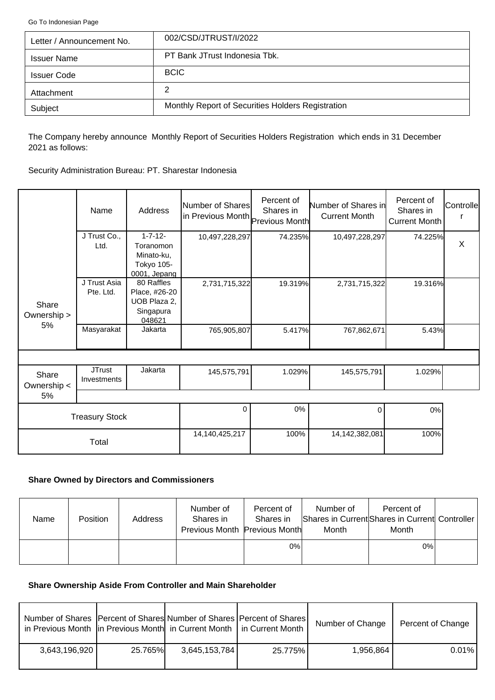<span id="page-2-0"></span>[Go To Indonesian Page](#page-0-0)

| Letter / Announcement No. | 002/CSD/JTRUST/I/2022                             |
|---------------------------|---------------------------------------------------|
| <b>Issuer Name</b>        | PT Bank JTrust Indonesia Tbk.                     |
| <b>Issuer Code</b>        | <b>BCIC</b>                                       |
| Attachment                | 2                                                 |
| Subject                   | Monthly Report of Securities Holders Registration |

The Company hereby announce Monthly Report of Securities Holders Registration which ends in 31 December 2021 as follows:

Security Administration Bureau: PT. Sharestar Indonesia

|                      | Name                         | Address                                                                 | Number of Shares<br>in Previous Month Previous Month | Percent of<br>Shares in | Number of Shares in<br><b>Current Month</b> | Percent of<br>Shares in<br><b>Current Month</b> | Controlle |
|----------------------|------------------------------|-------------------------------------------------------------------------|------------------------------------------------------|-------------------------|---------------------------------------------|-------------------------------------------------|-----------|
|                      | J Trust Co.,<br>Ltd.         | $1 - 7 - 12 -$<br>Toranomon<br>Minato-ku,<br>Tokyo 105-<br>0001, Jepang | 10,497,228,297                                       | 74.235%                 | 10,497,228,297                              | 74.225%                                         | X         |
| Share<br>Ownership > | J Trust Asia<br>Pte. Ltd.    | 80 Raffles<br>Place, #26-20<br>UOB Plaza 2,<br>Singapura<br>048621      | 2,731,715,322                                        | 19.319%                 | 2,731,715,322                               | 19.316%                                         |           |
| 5%                   | Masyarakat                   | Jakarta                                                                 | 765,905,807                                          | 5.417%                  | 767,862,671                                 | 5.43%                                           |           |
|                      |                              |                                                                         |                                                      |                         |                                             |                                                 |           |
| Share<br>Ownership < | <b>JTrust</b><br>Investments | Jakarta                                                                 | 145,575,791                                          | 1.029%                  | 145,575,791                                 | 1.029%                                          |           |
| 5%                   |                              |                                                                         |                                                      |                         |                                             |                                                 |           |
|                      | <b>Treasury Stock</b>        |                                                                         | $\Omega$                                             | 0%                      | $\Omega$                                    | 0%                                              |           |
|                      | Total                        |                                                                         | 14,140,425,217                                       | 100%                    | 14,142,382,081                              | 100%                                            |           |

## **Share Owned by Directors and Commissioners**

| Name | <b>Position</b> | Address | Number of<br>Shares in<br>Previous Month Previous Month | Percent of<br>Shares in | Number of<br>Month | Percent of<br>Shares in Current Shares in Current Controller<br>Month |  |
|------|-----------------|---------|---------------------------------------------------------|-------------------------|--------------------|-----------------------------------------------------------------------|--|
|      |                 |         |                                                         | $0\%$                   |                    | $0\%$                                                                 |  |

#### **Share Ownership Aside From Controller and Main Shareholder**

| Number of Shares   Percent of Shares  Number of Shares   Percent of Shares  <br>in Previous Month   in Previous Month   in Current Month   in Current Month |         |               |         | Number of Change | Percent of Change |
|-------------------------------------------------------------------------------------------------------------------------------------------------------------|---------|---------------|---------|------------------|-------------------|
| 3,643,196,920                                                                                                                                               | 25.765% | 3,645,153,784 | 25.775% | 1,956,864        | $0.01\%$          |